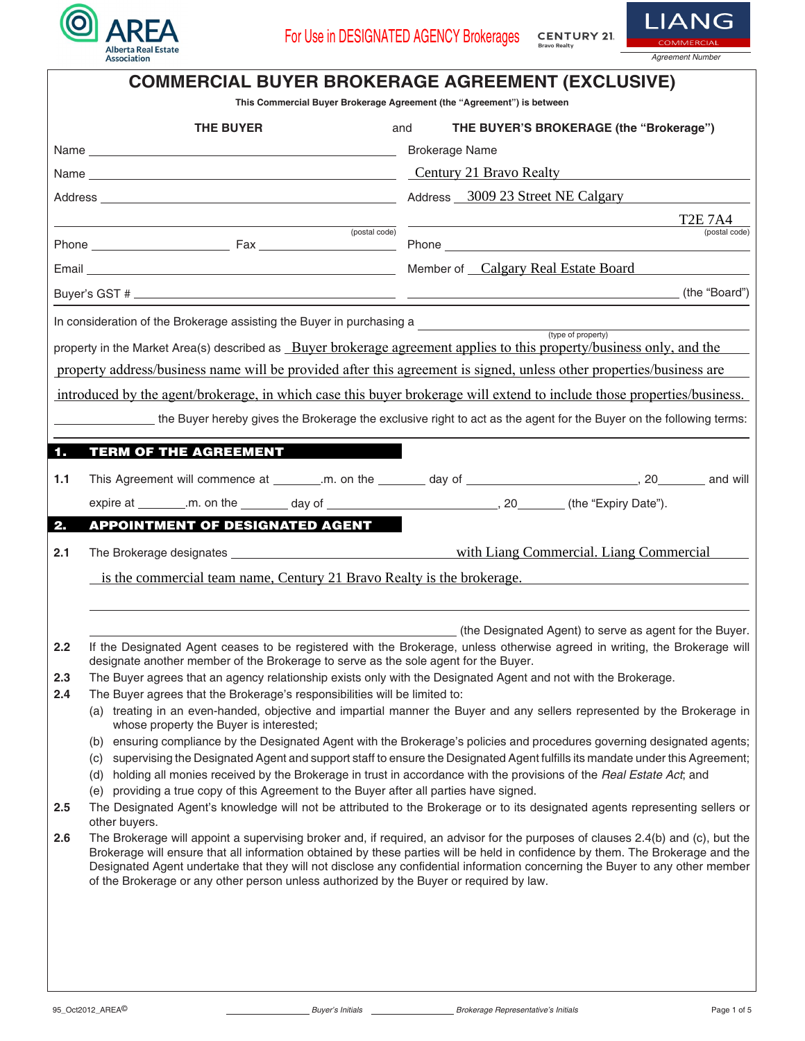



| <b>COMMERCIAL BUYER BROKERAGE AGREEMENT (EXCLUSIVE)</b><br>This Commercial Buyer Brokerage Agreement (the "Agreement") is between                                                                                                                                                                                                                                                                                                                                                                                                                                                                                                                                                                                                                                           |                                                                                                                                                                                                                                                                                                                                                                                                                                                                                                                                                                                                                           |                                                                                                                                                                                                                                                                                                                                                                                                    |  |  |  |  |
|-----------------------------------------------------------------------------------------------------------------------------------------------------------------------------------------------------------------------------------------------------------------------------------------------------------------------------------------------------------------------------------------------------------------------------------------------------------------------------------------------------------------------------------------------------------------------------------------------------------------------------------------------------------------------------------------------------------------------------------------------------------------------------|---------------------------------------------------------------------------------------------------------------------------------------------------------------------------------------------------------------------------------------------------------------------------------------------------------------------------------------------------------------------------------------------------------------------------------------------------------------------------------------------------------------------------------------------------------------------------------------------------------------------------|----------------------------------------------------------------------------------------------------------------------------------------------------------------------------------------------------------------------------------------------------------------------------------------------------------------------------------------------------------------------------------------------------|--|--|--|--|
|                                                                                                                                                                                                                                                                                                                                                                                                                                                                                                                                                                                                                                                                                                                                                                             | <b>THE BUYER</b>                                                                                                                                                                                                                                                                                                                                                                                                                                                                                                                                                                                                          | THE BUYER'S BROKERAGE (the "Brokerage")<br>and                                                                                                                                                                                                                                                                                                                                                     |  |  |  |  |
|                                                                                                                                                                                                                                                                                                                                                                                                                                                                                                                                                                                                                                                                                                                                                                             |                                                                                                                                                                                                                                                                                                                                                                                                                                                                                                                                                                                                                           | <b>Brokerage Name</b>                                                                                                                                                                                                                                                                                                                                                                              |  |  |  |  |
|                                                                                                                                                                                                                                                                                                                                                                                                                                                                                                                                                                                                                                                                                                                                                                             |                                                                                                                                                                                                                                                                                                                                                                                                                                                                                                                                                                                                                           | Century 21 Bravo Realty                                                                                                                                                                                                                                                                                                                                                                            |  |  |  |  |
|                                                                                                                                                                                                                                                                                                                                                                                                                                                                                                                                                                                                                                                                                                                                                                             |                                                                                                                                                                                                                                                                                                                                                                                                                                                                                                                                                                                                                           |                                                                                                                                                                                                                                                                                                                                                                                                    |  |  |  |  |
|                                                                                                                                                                                                                                                                                                                                                                                                                                                                                                                                                                                                                                                                                                                                                                             | (postal code)                                                                                                                                                                                                                                                                                                                                                                                                                                                                                                                                                                                                             | <b>T2E 7A4</b><br>(postal code)                                                                                                                                                                                                                                                                                                                                                                    |  |  |  |  |
|                                                                                                                                                                                                                                                                                                                                                                                                                                                                                                                                                                                                                                                                                                                                                                             |                                                                                                                                                                                                                                                                                                                                                                                                                                                                                                                                                                                                                           |                                                                                                                                                                                                                                                                                                                                                                                                    |  |  |  |  |
|                                                                                                                                                                                                                                                                                                                                                                                                                                                                                                                                                                                                                                                                                                                                                                             |                                                                                                                                                                                                                                                                                                                                                                                                                                                                                                                                                                                                                           | Member of Calgary Real Estate Board                                                                                                                                                                                                                                                                                                                                                                |  |  |  |  |
|                                                                                                                                                                                                                                                                                                                                                                                                                                                                                                                                                                                                                                                                                                                                                                             |                                                                                                                                                                                                                                                                                                                                                                                                                                                                                                                                                                                                                           | (the "Board")                                                                                                                                                                                                                                                                                                                                                                                      |  |  |  |  |
| In consideration of the Brokerage assisting the Buyer in purchasing a<br>(type of property)<br>property in the Market Area(s) described as Buyer brokerage agreement applies to this property/business only, and the<br>property address/business name will be provided after this agreement is signed, unless other properties/business are<br>introduced by the agent/brokerage, in which case this buyer brokerage will extend to include those properties/business.<br>the Buyer hereby gives the Brokerage the exclusive right to act as the agent for the Buyer on the following terms:<br><b>TERM OF THE AGREEMENT</b><br>1.<br>1.1<br><b>APPOINTMENT OF DESIGNATED AGENT</b><br>2.<br>2.1<br>is the commercial team name, Century 21 Bravo Realty is the brokerage. |                                                                                                                                                                                                                                                                                                                                                                                                                                                                                                                                                                                                                           |                                                                                                                                                                                                                                                                                                                                                                                                    |  |  |  |  |
| 2.2                                                                                                                                                                                                                                                                                                                                                                                                                                                                                                                                                                                                                                                                                                                                                                         |                                                                                                                                                                                                                                                                                                                                                                                                                                                                                                                                                                                                                           | (the Designated Agent) to serve as agent for the Buyer.<br>If the Designated Agent ceases to be registered with the Brokerage, unless otherwise agreed in writing, the Brokerage will                                                                                                                                                                                                              |  |  |  |  |
|                                                                                                                                                                                                                                                                                                                                                                                                                                                                                                                                                                                                                                                                                                                                                                             | designate another member of the Brokerage to serve as the sole agent for the Buyer.                                                                                                                                                                                                                                                                                                                                                                                                                                                                                                                                       |                                                                                                                                                                                                                                                                                                                                                                                                    |  |  |  |  |
| 2.3<br>2.4                                                                                                                                                                                                                                                                                                                                                                                                                                                                                                                                                                                                                                                                                                                                                                  | The Buyer agrees that an agency relationship exists only with the Designated Agent and not with the Brokerage.<br>The Buyer agrees that the Brokerage's responsibilities will be limited to:                                                                                                                                                                                                                                                                                                                                                                                                                              |                                                                                                                                                                                                                                                                                                                                                                                                    |  |  |  |  |
|                                                                                                                                                                                                                                                                                                                                                                                                                                                                                                                                                                                                                                                                                                                                                                             | (a) treating in an even-handed, objective and impartial manner the Buyer and any sellers represented by the Brokerage in<br>whose property the Buyer is interested;                                                                                                                                                                                                                                                                                                                                                                                                                                                       |                                                                                                                                                                                                                                                                                                                                                                                                    |  |  |  |  |
| 2.5                                                                                                                                                                                                                                                                                                                                                                                                                                                                                                                                                                                                                                                                                                                                                                         | (b) ensuring compliance by the Designated Agent with the Brokerage's policies and procedures governing designated agents;<br>supervising the Designated Agent and support staff to ensure the Designated Agent fulfills its mandate under this Agreement;<br>(C)<br>holding all monies received by the Brokerage in trust in accordance with the provisions of the Real Estate Act; and<br>(d)<br>(e) providing a true copy of this Agreement to the Buyer after all parties have signed.<br>The Designated Agent's knowledge will not be attributed to the Brokerage or to its designated agents representing sellers or |                                                                                                                                                                                                                                                                                                                                                                                                    |  |  |  |  |
|                                                                                                                                                                                                                                                                                                                                                                                                                                                                                                                                                                                                                                                                                                                                                                             | other buyers.                                                                                                                                                                                                                                                                                                                                                                                                                                                                                                                                                                                                             |                                                                                                                                                                                                                                                                                                                                                                                                    |  |  |  |  |
| 2.6                                                                                                                                                                                                                                                                                                                                                                                                                                                                                                                                                                                                                                                                                                                                                                         | of the Brokerage or any other person unless authorized by the Buyer or required by law.                                                                                                                                                                                                                                                                                                                                                                                                                                                                                                                                   | The Brokerage will appoint a supervising broker and, if required, an advisor for the purposes of clauses 2.4(b) and (c), but the<br>Brokerage will ensure that all information obtained by these parties will be held in confidence by them. The Brokerage and the<br>Designated Agent undertake that they will not disclose any confidential information concerning the Buyer to any other member |  |  |  |  |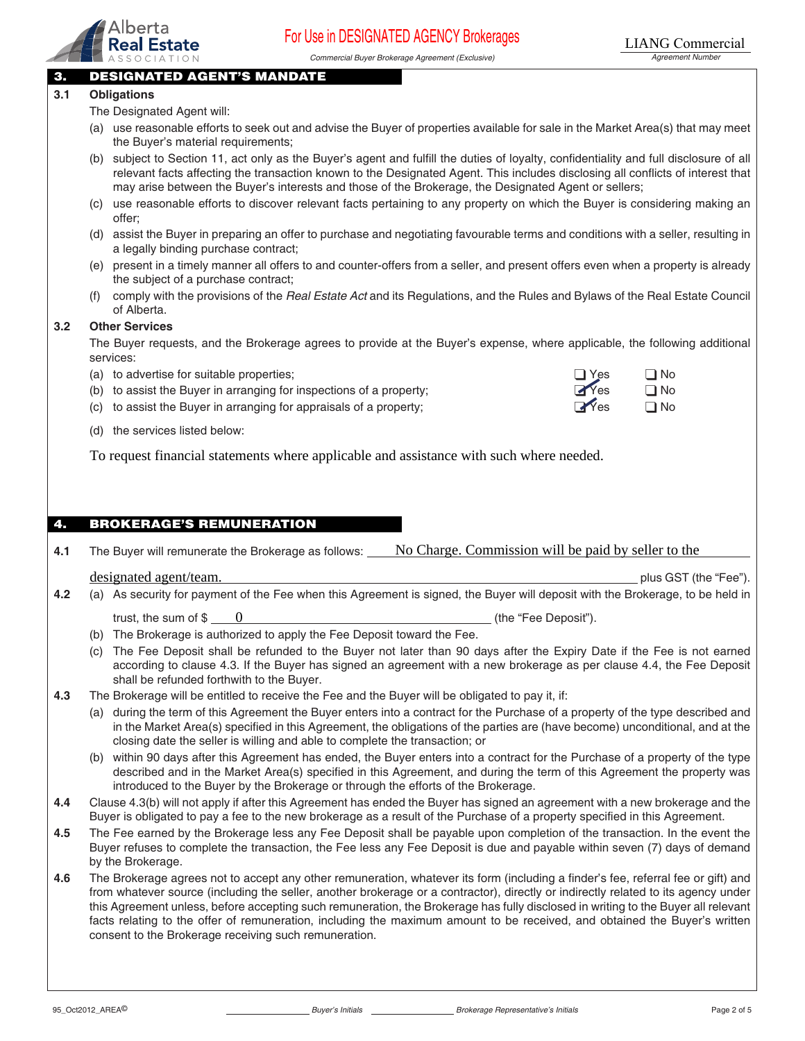

Commercial Buyer Brokerage Agreement (Exclusive) Magnetic Commercial Buyer Brokerage Agreement Number

### 3. DESIGNATED AGENT'S MANDATE

#### **3.1 Obligations**

The Designated Agent will:

- (a) use reasonable efforts to seek out and advise the Buyer of properties available for sale in the Market Area(s) that may meet the Buyer's material requirements;
- (b) subject to Section 11, act only as the Buyer's agent and fulfill the duties of loyalty, confidentiality and full disclosure of all relevant facts affecting the transaction known to the Designated Agent. This includes disclosing all conflicts of interest that may arise between the Buyer's interests and those of the Brokerage, the Designated Agent or sellers; TRO **EXECT TO THE COMINITY DURICATED AND COMINITY DIVER AND COMINET ASSOCIATION**<br>
DESIGNATED ASSOCIATION<br>
(a) suspensive through a common stay shows the summer of columns<br>
(a) the Designated Agent will:<br>
(b) subject to Se
- (c) use reasonable efforts to discover relevant facts pertaining to any property on which the Buyer is considering making an offer;
- (d) assist the Buyer in preparing an offer to purchase and negotiating favourable terms and conditions with a seller, resulting in a legally binding purchase contract;
- (e) present in a timely manner all offers to and counter-offers from a seller, and present offers even when a property is already the subject of a purchase contract;
- (f) comply with the provisions of the Real Estate Act and its Regulations, and the Rules and Bylaws of the Real Estate Council of Alberta.

#### **3.2 Other Services**

 The Buyer requests, and the Brokerage agrees to provide at the Buyer's expense, where applicable, the following additional services:

- (a) to advertise for suitable properties;  $\Box$  Yes  $\Box$  No
- (b) to assist the Buyer in arranging for inspections of a property;  $\blacksquare$  Yes  $\blacksquare$  No
- (c) to assist the Buyer in arranging for appraisals of a property;  $\Box$  Yes  $\Box$  No

| $\frac{1}{1}$ | $\Box N$ |
|---------------|----------|
| Yes           | $\Box N$ |
|               |          |

plus GST (the "Fee").

(d) the services listed below:

### 4. BROKERAGE'S REMUNERATION

**4.1** The Buyer will remunerate the Brokerage as follows: No Charge. Commission will be paid by seller to the designated agent/team.

- **4.2** (a) As security for payment of the Fee when this Agreement is signed, the Buyer will deposit with the Brokerage, to be held in trust, the sum of  $\$$   $\begin{array}{c} 0 \end{array}$  (the "Fee Deposit").
	- (b) The Brokerage is authorized to apply the Fee Deposit toward the Fee.
	- (c) The Fee Deposit shall be refunded to the Buyer not later than 90 days after the Expiry Date if the Fee is not earned according to clause 4.3. If the Buyer has signed an agreement with a new brokerage as per clause 4.4, the Fee Deposit shall be refunded forthwith to the Buyer.

#### **4.3** The Brokerage will be entitled to receive the Fee and the Buyer will be obligated to pay it, if:

- (a) during the term of this Agreement the Buyer enters into a contract for the Purchase of a property of the type described and in the Market Area(s) specified in this Agreement, the obligations of the parties are (have become) unconditional, and at the closing date the seller is willing and able to complete the transaction; or
- (b) within 90 days after this Agreement has ended, the Buyer enters into a contract for the Purchase of a property of the type described and in the Market Area(s) specified in this Agreement, and during the term of this Agreement the property was introduced to the Buyer by the Brokerage or through the efforts of the Brokerage.
- **4.4** Clause 4.3(b) will not apply if after this Agreement has ended the Buyer has signed an agreement with a new brokerage and the Buyer is obligated to pay a fee to the new brokerage as a result of the Purchase of a property specified in this Agreement.
- **4.5** The Fee earned by the Brokerage less any Fee Deposit shall be payable upon completion of the transaction. In the event the Buyer refuses to complete the transaction, the Fee less any Fee Deposit is due and payable within seven (7) days of demand by the Brokerage.
- **4.6** The Brokerage agrees not to accept any other remuneration, whatever its form (including a finder's fee, referral fee or gift) and from whatever source (including the seller, another brokerage or a contractor), directly or indirectly related to its agency under this Agreement unless, before accepting such remuneration, the Brokerage has fully disclosed in writing to the Buyer all relevant facts relating to the offer of remuneration, including the maximum amount to be received, and obtained the Buyer's written consent to the Brokerage receiving such remuneration.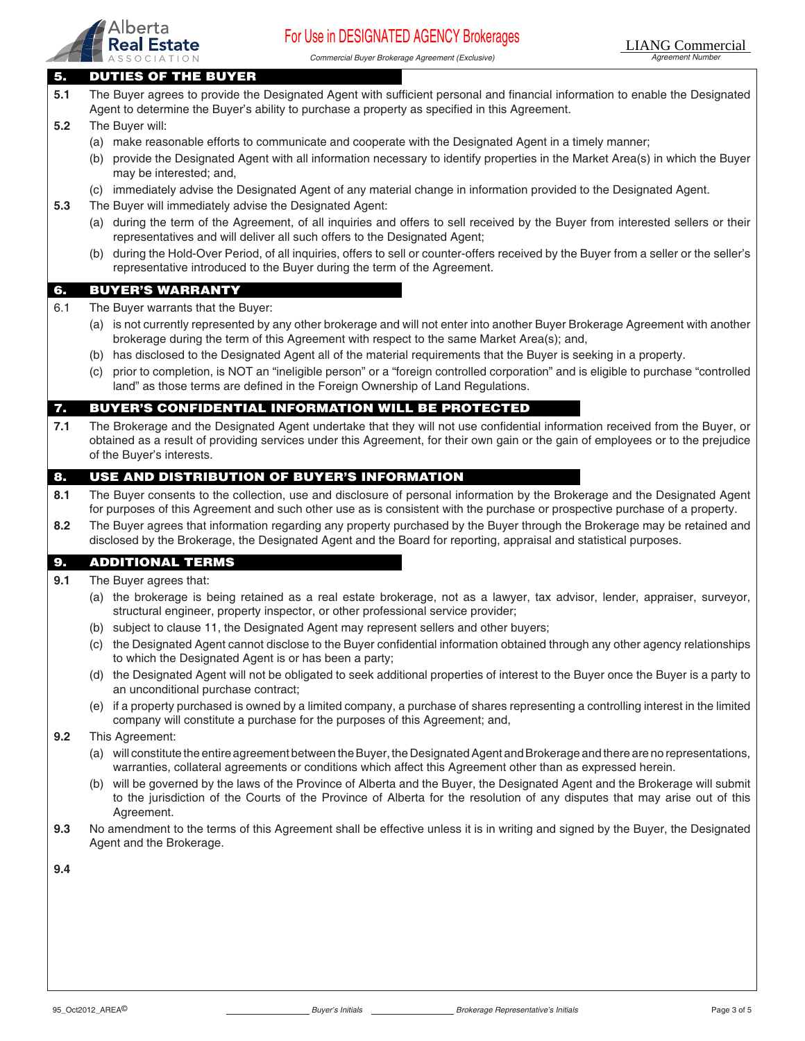

Commercial Buyer Brokerage Agreement (Exclusive) Agreement Number

#### 5. DUTIES OF THE BUYER

- **5.1** The Buyer agrees to provide the Designated Agent with sufficient personal and financial information to enable the Designated Agent to determine the Buyer's ability to purchase a property as specified in this Agreement. **5.2** The Buyer will: (a) make reasonable efforts to communicate and cooperate with the Designated Agent in a timely manner; (b) provide the Designated Agent with all information necessary to identify properties in the Market Area(s) in which the Buyer may be interested; and, (c) immediately advise the Designated Agent of any material change in information provided to the Designated Agent.
- **5.3** The Buyer will immediately advise the Designated Agent:
	- (a) during the term of the Agreement, of all inquiries and offers to sell received by the Buyer from interested sellers or their representatives and will deliver all such offers to the Designated Agent;
	- (b) during the Hold-Over Period, of all inquiries, offers to sell or counter-offers received by the Buyer from a seller or the seller's representative introduced to the Buyer during the term of the Agreement.

#### 6. BUYER'S WARRANTY

- 6.1 The Buyer warrants that the Buyer:
	- (a) is not currently represented by any other brokerage and will not enter into another Buyer Brokerage Agreement with another brokerage during the term of this Agreement with respect to the same Market Area(s); and,
	- (b) has disclosed to the Designated Agent all of the material requirements that the Buyer is seeking in a property.
	- (c) prior to completion, is NOT an "ineligible person" or a "foreign controlled corporation" and is eligible to purchase "controlled land" as those terms are defined in the Foreign Ownership of Land Regulations.

#### 7. BUYER'S CONFIDENTIAL INFORMATION WILL BE PROTECTED

**7.1** The Brokerage and the Designated Agent undertake that they will not use confidential information received from the Buyer, or obtained as a result of providing services under this Agreement, for their own gain or the gain of employees or to the prejudice of the Buyer's interests.

#### 8. USE AND DISTRIBUTION OF BUYER'S INFORMATION

- **8.1** The Buyer consents to the collection, use and disclosure of personal information by the Brokerage and the Designated Agent for purposes of this Agreement and such other use as is consistent with the purchase or prospective purchase of a property.
- **8.2** The Buyer agrees that information regarding any property purchased by the Buyer through the Brokerage may be retained and disclosed by the Brokerage, the Designated Agent and the Board for reporting, appraisal and statistical purposes.

#### 9. ADDITIONAL TERMS

- **9.1** The Buyer agrees that:
	- (a) the brokerage is being retained as a real estate brokerage, not as a lawyer, tax advisor, lender, appraiser, surveyor, structural engineer, property inspector, or other professional service provider;
	- (b) subject to clause 11, the Designated Agent may represent sellers and other buyers;
	- (c) the Designated Agent cannot disclose to the Buyer confidential information obtained through any other agency relationships to which the Designated Agent is or has been a party;
	- (d) the Designated Agent will not be obligated to seek additional properties of interest to the Buyer once the Buyer is a party to an unconditional purchase contract;
	- (e) if a property purchased is owned by a limited company, a purchase of shares representing a controlling interest in the limited company will constitute a purchase for the purposes of this Agreement; and,
- **9.2** This Agreement:
	- (a) will constitute the entire agreement between the Buyer, the Designated Agent and Brokerage and there are no representations, warranties, collateral agreements or conditions which affect this Agreement other than as expressed herein.
	- (b) will be governed by the laws of the Province of Alberta and the Buyer, the Designated Agent and the Brokerage will submit to the jurisdiction of the Courts of the Province of Alberta for the resolution of any disputes that may arise out of this Agreement.
- **9.3** No amendment to the terms of this Agreement shall be effective unless it is in writing and signed by the Buyer, the Designated Agent and the Brokerage.
- **9.4**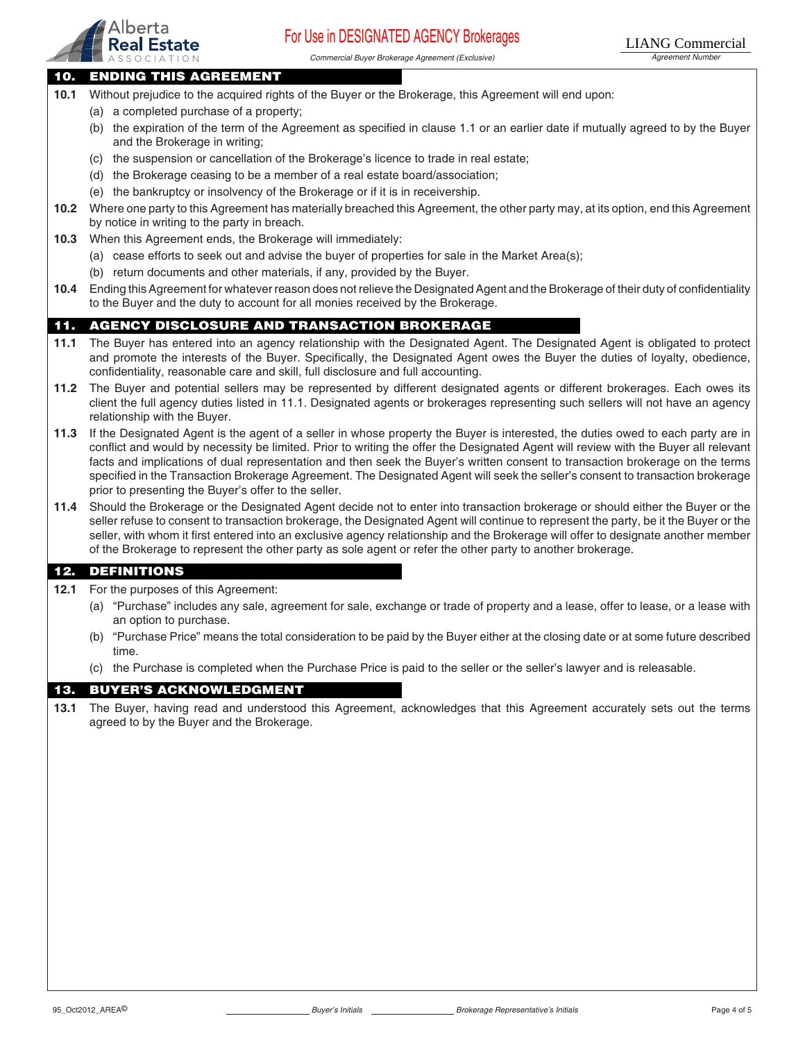

Commercial Buyer Brokerage Agreement (Exclusive) Magnetic Commercial Buyer Brokerage Agreement Number

#### 10. ENDING THIS AGREEMENT

- **10.1** Without prejudice to the acquired rights of the Buyer or the Brokerage, this Agreement will end upon:
	- (a) a completed purchase of a property;
	- (b) the expiration of the term of the Agreement as specified in clause 1.1 or an earlier date if mutually agreed to by the Buyer and the Brokerage in writing;
	- (c) the suspension or cancellation of the Brokerage's licence to trade in real estate;
	- (d) the Brokerage ceasing to be a member of a real estate board/association;
	- (e) the bankruptcy or insolvency of the Brokerage or if it is in receivership.
- **10.2** Where one party to this Agreement has materially breached this Agreement, the other party may, at its option, end this Agreement by notice in writing to the party in breach.
- **10.3** When this Agreement ends, the Brokerage will immediately:
	- (a) cease efforts to seek out and advise the buyer of properties for sale in the Market Area(s);
		- (b) return documents and other materials, if any, provided by the Buyer.
- **10.4** Ending this Agreement for whatever reason does not relieve the Designated Agent and the Brokerage of their duty of confidentiality to the Buyer and the duty to account for all monies received by the Brokerage.

### 11. AGENCY DISCLOSURE AND TRANSACTION BROKERAGE

- **11.1** The Buyer has entered into an agency relationship with the Designated Agent. The Designated Agent is obligated to protect and promote the interests of the Buyer. Specifically, the Designated Agent owes the Buyer the duties of loyalty, obedience, confidentiality, reasonable care and skill, full disclosure and full accounting.
- **11.2** The Buyer and potential sellers may be represented by different designated agents or different brokerages. Each owes its client the full agency duties listed in 11.1. Designated agents or brokerages representing such sellers will not have an agency relationship with the Buyer.
- **11.3** If the Designated Agent is the agent of a seller in whose property the Buyer is interested, the duties owed to each party are in conflict and would by necessity be limited. Prior to writing the offer the Designated Agent will review with the Buyer all relevant facts and implications of dual representation and then seek the Buyer's written consent to transaction brokerage on the terms specified in the Transaction Brokerage Agreement. The Designated Agent will seek the seller's consent to transaction brokerage prior to presenting the Buyer's offer to the seller.
- **11.4** Should the Brokerage or the Designated Agent decide not to enter into transaction brokerage or should either the Buyer or the seller refuse to consent to transaction brokerage, the Designated Agent will continue to represent the party, be it the Buyer or the seller, with whom it first entered into an exclusive agency relationship and the Brokerage will offer to designate another member of the Brokerage to represent the other party as sole agent or refer the other party to another brokerage.

#### 12. DEFINITIONS

- **12.1** For the purposes of this Agreement:
	- (a) "Purchase" includes any sale, agreement for sale, exchange or trade of property and a lease, offer to lease, or a lease with an option to purchase.
	- (b) "Purchase Price" means the total consideration to be paid by the Buyer either at the closing date or at some future described time.
	- (c) the Purchase is completed when the Purchase Price is paid to the seller or the seller's lawyer and is releasable.

#### 13. BUYER'S ACKNOWLEDGMENT

**13.1** The Buyer, having read and understood this Agreement, acknowledges that this Agreement accurately sets out the terms agreed to by the Buyer and the Brokerage.